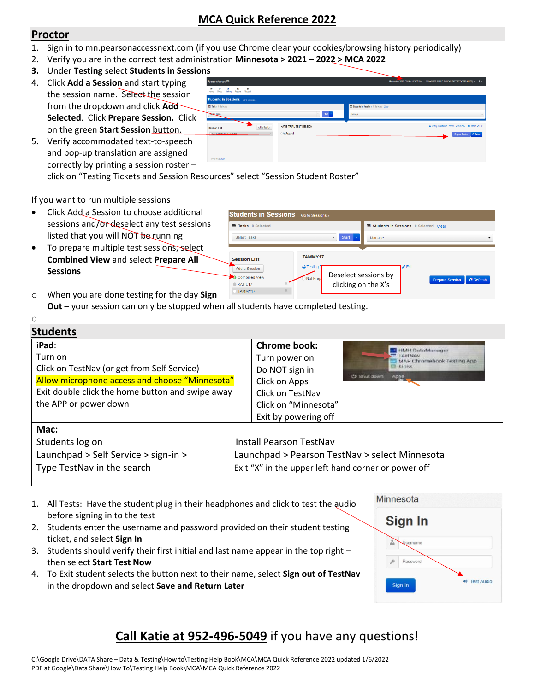## **MCA Quick Reference 2022**

## **Proctor**

o

- 1. Sign in to mn.pearsonaccessnext.com (if you use Chrome clear your cookies/browsing history periodically)
- 2. Verify you are in the correct test administration **Minnesota > 2021 – 2022 > MCA 2022**
- **3.** Under **Testing** select **Students in Sessions**
- 4. Click **Add a Session** and start typing the session name. Select the session from the dropdown and click **Add Selected**. Click **Prepare Session.** Click on the green **Start Session** button.
- 5. Verify accommodated text-to-speech and pop-up translation are assigned correctly by printing a session roster –

| PearsonAccessnext                                                                      |                                          |                                                 | Mimesola > 2018 - 2019 > MCA 2019 - SHAKOFEE PUBLIC SCHOOL DISTRICT (0720-01-000) - 4 - |
|----------------------------------------------------------------------------------------|------------------------------------------|-------------------------------------------------|-----------------------------------------------------------------------------------------|
| <b>0 ⊠</b> □ <b>0</b><br>Sstup Testing Reports Support<br>$rac{6}{1000}$               |                                          |                                                 |                                                                                         |
| <b>Students in Sessions</b> Go to Sensions »                                           |                                          |                                                 |                                                                                         |
| E Tasks 0 Solected                                                                     |                                          | <b>ED</b> Students in Sessions 0 Selected Clear |                                                                                         |
| <b>Select Tasks</b>                                                                    | $Sint \rightarrow$                       | Manage                                          |                                                                                         |
|                                                                                        |                                          |                                                 |                                                                                         |
| Add a Session<br><b>Session List</b><br>KATIF TRIAL TEST SESSION<br>1 Sessions   Clear | KATIE TRIAL TEST SESSION<br>Not Prepared |                                                 | A Testing Tickets and Session Resources - @ Details / Edit<br>Prepare Session C Refresh |

click on "Testing Tickets and Session Resources" select "Session Student Roster"

If you want to run multiple sessions

- Click Add a Session to choose additional sessions and/or-deselect any test sessions listed that you will NOT be running
- To prepare multiple test sessions, select **Combined View** and select **Prepare All Sessions**



**Minnesota** 

Sign In

Username

Password

Sign In

**10** Test Audio

o When you are done testing for the day **Sign Out** – your session can only be stopped when all students have completed testing.

| <b>Students</b>                                                                                                                                                                                |                                                                                                                                             |              |                                                                                  |
|------------------------------------------------------------------------------------------------------------------------------------------------------------------------------------------------|---------------------------------------------------------------------------------------------------------------------------------------------|--------------|----------------------------------------------------------------------------------|
| iPad:<br>Turn on<br>Click on TestNav (or get from Self Service)<br>Allow microphone access and choose "Minnesota"<br>Exit double click the home button and swipe away<br>the APP or power down | <b>Chrome book:</b><br>Turn power on<br>Do NOT sign in<br>Click on Apps<br>Click on TestNav<br>Click on "Minnesota"<br>Exit by powering off | C) shut down | HMH.DataManager<br><b>FeetNav</b><br>MAP Chromebook Testing App<br>KIDSS<br>Apre |
| Mac:<br>Students log on<br>Launchpad > Self Service > sign-in ><br>Type TestNav in the search                                                                                                  | <b>Install Pearson TestNav</b><br>Launchpad > Pearson TestNav > select Minnesota<br>Exit "X" in the upper left hand corner or power off     |              |                                                                                  |

- 1. All Tests: Have the student plug in their headphones and click to test the audio before signing in to the test
- 2. Students enter the username and password provided on their student testing ticket, and select **Sign In**
- 3. Students should verify their first initial and last name appear in the top right then select **Start Test Now**
- 4. To Exit student selects the button next to their name, select **Sign out of TestNav** in the dropdown and select **Save and Return Later**

## **Call Katie at 952-496-5049** if you have any questions!